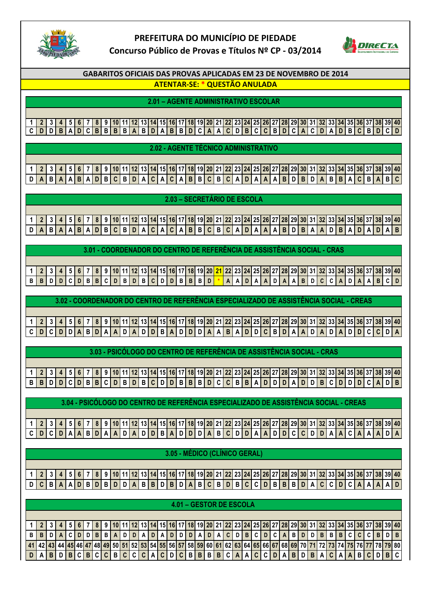

## **PREFEITURA DO MUNICÍPIO DE PIEDADE Concurso Público de Provas e Títulos Nº CP - 03/2014**



**GABARITOS OFICIAIS DAS PROVAS APLICADAS EM 23 DE NOVEMBRO DE 2014**

**ATENTAR-SE: \* QUESTÃO ANULADA**

**2.01 – AGENTE ADMINISTRATIVO ESCOLAR**

**1 2 3 4 5 6 7 8 9 10 11 12 13 14 15 16 17 18 19 20 21 22 23 24 25 26 27 28 29 30 31 32 33 34 35 36 37 38 39 40** CDDBADCBBBBABDABBDCAACDBCCBDCACDADBCBD

**2.02 - AGENTE TÉCNICO ADMINISTRATIVO**

1 2 3 4 5 6 7 8 9 10 11 12 13 14 15 16 17 18 19 20 21 22 23 24 25 26 27 28 29 30 31 32 33 34 35 36 37 38 39 40 **D A B A A B A D B C B D A C A C A B B C B C A D A A A B D B D A B B A C B A B C**

**2.03 – SECRETÁRIO DE ESCOLA**

|  |                                                                                                                |  |  |  |  |  | <b>Z.US - SEGRETARIO DE ESGOLA</b> |  |  |  |  |  |  |  |  |  |  |  |  |
|--|----------------------------------------------------------------------------------------------------------------|--|--|--|--|--|------------------------------------|--|--|--|--|--|--|--|--|--|--|--|--|
|  |                                                                                                                |  |  |  |  |  |                                    |  |  |  |  |  |  |  |  |  |  |  |  |
|  | 1 2 3 4 5 6 7 8 9 10 11 12 13 14 15 16 17 18 19 20 21 22 23 24 25 26 27 28 29 30 31 32 33 34 35 36 37 38 39 40 |  |  |  |  |  |                                    |  |  |  |  |  |  |  |  |  |  |  |  |
|  |                                                                                                                |  |  |  |  |  |                                    |  |  |  |  |  |  |  |  |  |  |  |  |
|  |                                                                                                                |  |  |  |  |  |                                    |  |  |  |  |  |  |  |  |  |  |  |  |

**3.01 - COORDENADOR DO CENTRO DE REFERÊNCIA DE ASSISTÊNCIA SOCIAL - CRAS**

| 1   2   3   4   5   6   7   8   9  10  11  12  13  14  15  16  17  18  19  20 <mark> 21  </mark> 22  23 <mark> 24</mark>  25 <mark> 26  27  28  29  30  31  32  33  34  35  36  37  38</mark>  39 <mark> 40</mark> |  |  |  |  |  |  |  |  |  |  |  |  |  |  |  |  |  |  |  |  |
|--------------------------------------------------------------------------------------------------------------------------------------------------------------------------------------------------------------------|--|--|--|--|--|--|--|--|--|--|--|--|--|--|--|--|--|--|--|--|
|                                                                                                                                                                                                                    |  |  |  |  |  |  |  |  |  |  |  |  |  |  |  |  |  |  |  |  |
|                                                                                                                                                                                                                    |  |  |  |  |  |  |  |  |  |  |  |  |  |  |  |  |  |  |  |  |

**3.02 - COORDENADOR DO CENTRO DE REFERÊNCIA ESPECIALIZADO DE ASSISTÊNCIA SOCIAL - CREAS**

**1 2 3 4 5 6 7 8 9 10 11 12 13 14 15 16 17 18 19 20 21 22 23 24 25 26 27 28 29 30 31 32 33 34 35 36 37 38 39 40 C D C D D A B D A A D A D D B A D D D A A B A D D C B D A A D A D A D D C C D A**

**3.03 - PSICÓLOGO DO CENTRO DE REFERÊNCIA DE ASSISTÊNCIA SOCIAL - CRAS**

1 | 2 | 3 | 4 | 5 | 6 | 7 | 8 | 9 |10|11|12|13|14|15|16|17|18|19|20|21|22|23|24|25|26|27|28|29|30|31|32|33|34|35|36|37|38|39|40 **B B D D C D B B C D B D B C D D B B B D C C B B A D D D A D D B C D D D C A D B**

**3.04 - PSICÓLOGO DO CENTRO DE REFERÊNCIA ESPECIALIZADO DE ASSISTÊNCIA SOCIAL - CREAS**

|  |  |  |  |  |  |  |  |  |  |  |  |  |  |  |  |  |  |  | 1   2   3   4   5   6   7   8   9  10  11  12  13  14  15  16  17  18  19  20  21  22  23  24  25  26  27  28  29  30  31  32  33  34  35  36  37  38  39  40 |  |
|--|--|--|--|--|--|--|--|--|--|--|--|--|--|--|--|--|--|--|---------------------------------------------------------------------------------------------------------------------------------------------------------------|--|
|  |  |  |  |  |  |  |  |  |  |  |  |  |  |  |  |  |  |  | C D C D A A B D A A D A D A D B A D D B A D D A B C D D A A D D C C D D A A C A A C A A D A                                                                   |  |
|  |  |  |  |  |  |  |  |  |  |  |  |  |  |  |  |  |  |  |                                                                                                                                                               |  |

**3.05 - MÉDICO (CLÍNICO GERAL)**

1 | 2 | 3 | 4 | 5 | 6 | 7 | 8 | 9 |10|11|12|13|14|15|16|17|18|19|20|21|22|23|24|25|26|27|28|29|30|31|32|33|34|35|36|37|38|39|40 **D C B A A D B D B D D A B B D B D A B C B D B C C D B B B D A C C D C A A A A D**

|    |                                                                                                                                                                                                  |     |                     |  |  |    |                |      |      |       |    |  |            |    |   |     | 4.01 - GESTOR DE ESCOLA |  |              |                                                                                                                 |  |    |     |  |            |  |  |
|----|--------------------------------------------------------------------------------------------------------------------------------------------------------------------------------------------------|-----|---------------------|--|--|----|----------------|------|------|-------|----|--|------------|----|---|-----|-------------------------|--|--------------|-----------------------------------------------------------------------------------------------------------------|--|----|-----|--|------------|--|--|
|    |                                                                                                                                                                                                  |     |                     |  |  |    |                |      |      |       |    |  |            |    |   |     |                         |  |              |                                                                                                                 |  |    |     |  |            |  |  |
|    |                                                                                                                                                                                                  |     |                     |  |  |    |                |      |      |       |    |  |            |    |   |     |                         |  |              | 5   6   7   8   9  10 11 12 13 14 15 16 17 18 19 20 21 22 23 24 25 26 27 28 29 30 31 32 33 34 35 36 37 38 39 40 |  |    |     |  |            |  |  |
|    |                                                                                                                                                                                                  |     |                     |  |  | BI | A <sub>1</sub> |      | DIDI | ADI.  | Al |  | <b>DDD</b> | ΑI | D | A C | DIBI                    |  | $\mathsf{A}$ | <b>BDD</b>                                                                                                      |  | B. | B I |  |            |  |  |
| 41 | 42   43   44   45   46   47   48   49   50   51   52   53   54   55   56   57   58   59   60   61   62   63   64   65   66   67   68   69   70   71   72   73   74   75   76   77   78   79   80 |     |                     |  |  |    |                |      |      |       |    |  |            |    |   |     |                         |  |              |                                                                                                                 |  |    |     |  |            |  |  |
|    |                                                                                                                                                                                                  | B I | $D$ $B$ $C$ $B$ $C$ |  |  |    |                | BICI |      | C C A |    |  |            |    |   |     |                         |  |              | $ C D C B B B B C A A C C D A B D B $                                                                           |  |    |     |  | C[A A B C] |  |  |